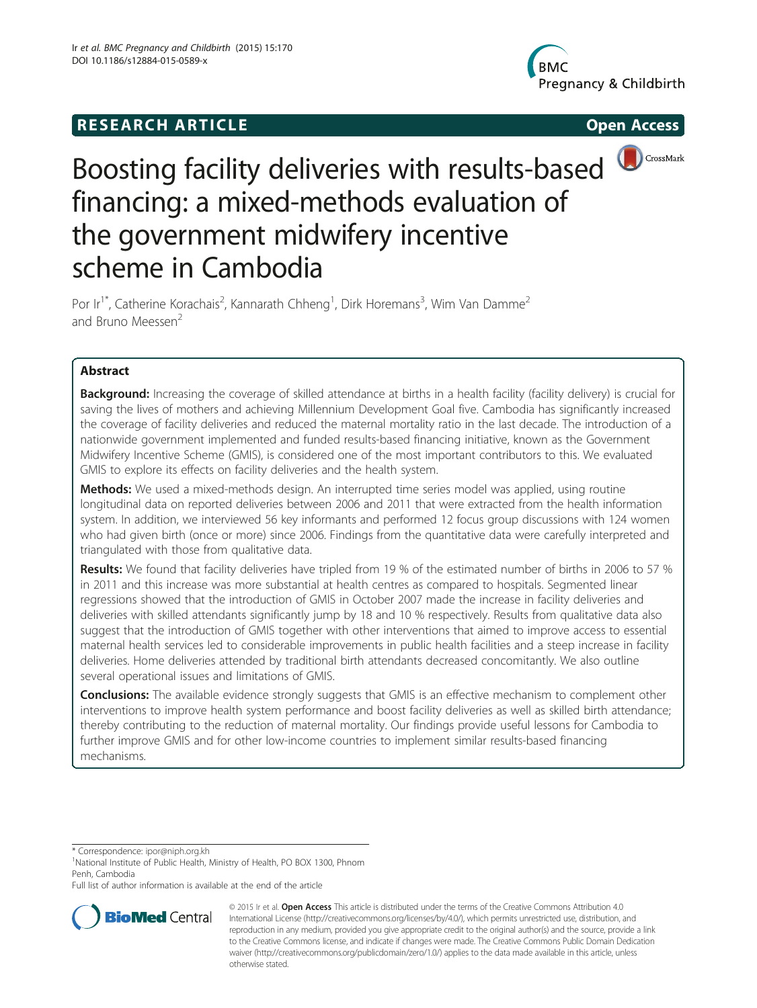# **RESEARCH ARTICLE CONSUMING A RESEARCH ARTICLE**





# Boosting facility deliveries with results-based financing: a mixed-methods evaluation of the government midwifery incentive scheme in Cambodia

Por Ir<sup>1\*</sup>, Catherine Korachais<sup>2</sup>, Kannarath Chheng<sup>1</sup>, Dirk Horemans<sup>3</sup>, Wim Van Damme<sup>2</sup> and Bruno Meessen<sup>2</sup>

# Abstract

Background: Increasing the coverage of skilled attendance at births in a health facility (facility delivery) is crucial for saving the lives of mothers and achieving Millennium Development Goal five. Cambodia has significantly increased the coverage of facility deliveries and reduced the maternal mortality ratio in the last decade. The introduction of a nationwide government implemented and funded results-based financing initiative, known as the Government Midwifery Incentive Scheme (GMIS), is considered one of the most important contributors to this. We evaluated GMIS to explore its effects on facility deliveries and the health system.

Methods: We used a mixed-methods design. An interrupted time series model was applied, using routine longitudinal data on reported deliveries between 2006 and 2011 that were extracted from the health information system. In addition, we interviewed 56 key informants and performed 12 focus group discussions with 124 women who had given birth (once or more) since 2006. Findings from the quantitative data were carefully interpreted and triangulated with those from qualitative data.

Results: We found that facility deliveries have tripled from 19 % of the estimated number of births in 2006 to 57 % in 2011 and this increase was more substantial at health centres as compared to hospitals. Segmented linear regressions showed that the introduction of GMIS in October 2007 made the increase in facility deliveries and deliveries with skilled attendants significantly jump by 18 and 10 % respectively. Results from qualitative data also suggest that the introduction of GMIS together with other interventions that aimed to improve access to essential maternal health services led to considerable improvements in public health facilities and a steep increase in facility deliveries. Home deliveries attended by traditional birth attendants decreased concomitantly. We also outline several operational issues and limitations of GMIS.

**Conclusions:** The available evidence strongly suggests that GMIS is an effective mechanism to complement other interventions to improve health system performance and boost facility deliveries as well as skilled birth attendance; thereby contributing to the reduction of maternal mortality. Our findings provide useful lessons for Cambodia to further improve GMIS and for other low-income countries to implement similar results-based financing mechanisms.

\* Correspondence: [ipor@niph.org.kh](mailto:ipor@niph.org.kh) <sup>1</sup>

<sup>1</sup>National Institute of Public Health, Ministry of Health, PO BOX 1300, Phnom Penh, Cambodia

Full list of author information is available at the end of the article



© 2015 Ir et al. Open Access This article is distributed under the terms of the Creative Commons Attribution 4.0 International License ([http://creativecommons.org/licenses/by/4.0/\)](http://creativecommons.org/licenses/by/4.0/), which permits unrestricted use, distribution, and reproduction in any medium, provided you give appropriate credit to the original author(s) and the source, provide a link to the Creative Commons license, and indicate if changes were made. The Creative Commons Public Domain Dedication waiver [\(http://creativecommons.org/publicdomain/zero/1.0/](http://creativecommons.org/publicdomain/zero/1.0/)) applies to the data made available in this article, unless otherwise stated.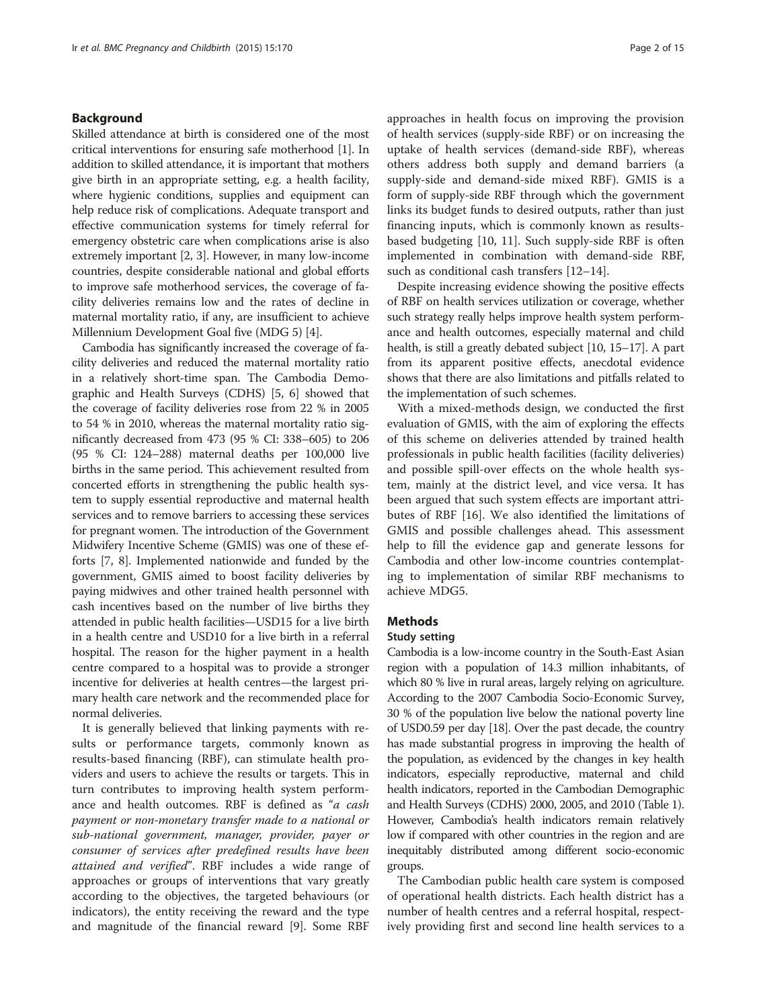#### Background

Skilled attendance at birth is considered one of the most critical interventions for ensuring safe motherhood [[1\]](#page-13-0). In addition to skilled attendance, it is important that mothers give birth in an appropriate setting, e.g. a health facility, where hygienic conditions, supplies and equipment can help reduce risk of complications. Adequate transport and effective communication systems for timely referral for emergency obstetric care when complications arise is also extremely important [[2, 3](#page-13-0)]. However, in many low-income countries, despite considerable national and global efforts to improve safe motherhood services, the coverage of facility deliveries remains low and the rates of decline in maternal mortality ratio, if any, are insufficient to achieve Millennium Development Goal five (MDG 5) [[4](#page-13-0)].

Cambodia has significantly increased the coverage of facility deliveries and reduced the maternal mortality ratio in a relatively short-time span. The Cambodia Demographic and Health Surveys (CDHS) [\[5](#page-13-0), [6\]](#page-13-0) showed that the coverage of facility deliveries rose from 22 % in 2005 to 54 % in 2010, whereas the maternal mortality ratio significantly decreased from 473 (95 % CI: 338–605) to 206 (95 % CI: 124–288) maternal deaths per 100,000 live births in the same period. This achievement resulted from concerted efforts in strengthening the public health system to supply essential reproductive and maternal health services and to remove barriers to accessing these services for pregnant women. The introduction of the Government Midwifery Incentive Scheme (GMIS) was one of these efforts [\[7](#page-13-0), [8](#page-13-0)]. Implemented nationwide and funded by the government, GMIS aimed to boost facility deliveries by paying midwives and other trained health personnel with cash incentives based on the number of live births they attended in public health facilities—USD15 for a live birth in a health centre and USD10 for a live birth in a referral hospital. The reason for the higher payment in a health centre compared to a hospital was to provide a stronger incentive for deliveries at health centres—the largest primary health care network and the recommended place for normal deliveries.

It is generally believed that linking payments with results or performance targets, commonly known as results-based financing (RBF), can stimulate health providers and users to achieve the results or targets. This in turn contributes to improving health system performance and health outcomes. RBF is defined as "*a cash* payment or non-monetary transfer made to a national or sub-national government, manager, provider, payer or consumer of services after predefined results have been attained and verified". RBF includes a wide range of approaches or groups of interventions that vary greatly according to the objectives, the targeted behaviours (or indicators), the entity receiving the reward and the type and magnitude of the financial reward [[9\]](#page-13-0). Some RBF

approaches in health focus on improving the provision of health services (supply-side RBF) or on increasing the uptake of health services (demand-side RBF), whereas others address both supply and demand barriers (a supply-side and demand-side mixed RBF). GMIS is a form of supply-side RBF through which the government links its budget funds to desired outputs, rather than just financing inputs, which is commonly known as resultsbased budgeting [[10, 11](#page-13-0)]. Such supply-side RBF is often implemented in combination with demand-side RBF, such as conditional cash transfers [[12](#page-13-0)–[14](#page-13-0)].

Despite increasing evidence showing the positive effects of RBF on health services utilization or coverage, whether such strategy really helps improve health system performance and health outcomes, especially maternal and child health, is still a greatly debated subject [\[10, 15](#page-13-0)–[17\]](#page-13-0). A part from its apparent positive effects, anecdotal evidence shows that there are also limitations and pitfalls related to the implementation of such schemes.

With a mixed-methods design, we conducted the first evaluation of GMIS, with the aim of exploring the effects of this scheme on deliveries attended by trained health professionals in public health facilities (facility deliveries) and possible spill-over effects on the whole health system, mainly at the district level, and vice versa. It has been argued that such system effects are important attributes of RBF [[16](#page-13-0)]. We also identified the limitations of GMIS and possible challenges ahead. This assessment help to fill the evidence gap and generate lessons for Cambodia and other low-income countries contemplating to implementation of similar RBF mechanisms to achieve MDG5.

## Methods

#### Study setting

Cambodia is a low-income country in the South-East Asian region with a population of 14.3 million inhabitants, of which 80 % live in rural areas, largely relying on agriculture. According to the 2007 Cambodia Socio-Economic Survey, 30 % of the population live below the national poverty line of USD0.59 per day [[18](#page-13-0)]. Over the past decade, the country has made substantial progress in improving the health of the population, as evidenced by the changes in key health indicators, especially reproductive, maternal and child health indicators, reported in the Cambodian Demographic and Health Surveys (CDHS) 2000, 2005, and 2010 (Table [1](#page-2-0)). However, Cambodia's health indicators remain relatively low if compared with other countries in the region and are inequitably distributed among different socio-economic groups.

The Cambodian public health care system is composed of operational health districts. Each health district has a number of health centres and a referral hospital, respectively providing first and second line health services to a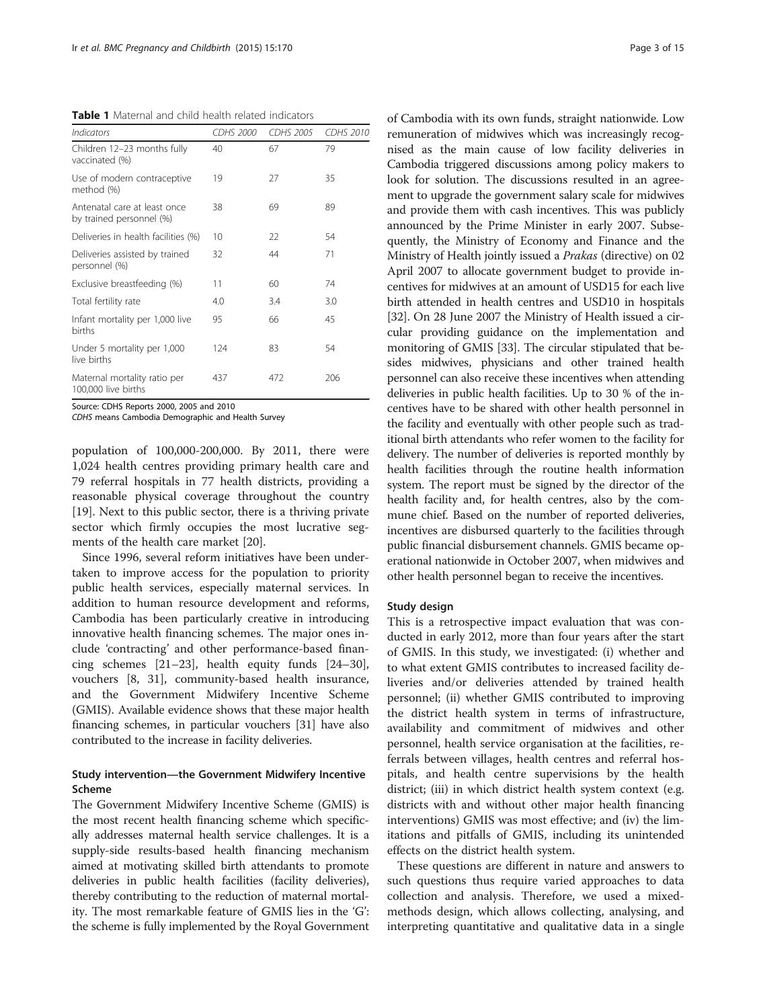<span id="page-2-0"></span>Table 1 Maternal and child health related indicators

| Indicators                                               | <b>CDHS 2000</b> | CDHS 2005 | CDHS 2010 |
|----------------------------------------------------------|------------------|-----------|-----------|
| Children 12-23 months fully<br>vaccinated (%)            | 40               | 67        | 79        |
| Use of modern contraceptive<br>method (%)                | 19               | 27        | 35        |
| Antenatal care at least once<br>by trained personnel (%) | 38               | 69        | 89        |
| Deliveries in health facilities (%)                      | 10               | 22        | 54        |
| Deliveries assisted by trained<br>personnel (%)          | 32               | 44        | 71        |
| Exclusive breastfeeding (%)                              | 11               | 60        | 74        |
| Total fertility rate                                     | 4.0              | 3.4       | 3.0       |
| Infant mortality per 1,000 live<br>births                | 95               | 66        | 45        |
| Under 5 mortality per 1,000<br>live births               | 124              | 83        | 54        |
| Maternal mortality ratio per<br>100,000 live births      | 437              | 472       | 206       |

Source: CDHS Reports 2000, 2005 and 2010

CDHS means Cambodia Demographic and Health Survey

population of 100,000-200,000. By 2011, there were 1,024 health centres providing primary health care and 79 referral hospitals in 77 health districts, providing a reasonable physical coverage throughout the country [[19\]](#page-13-0). Next to this public sector, there is a thriving private sector which firmly occupies the most lucrative segments of the health care market [\[20\]](#page-13-0).

Since 1996, several reform initiatives have been undertaken to improve access for the population to priority public health services, especially maternal services. In addition to human resource development and reforms, Cambodia has been particularly creative in introducing innovative health financing schemes. The major ones include 'contracting' and other performance-based financing schemes [\[21](#page-13-0)–[23\]](#page-13-0), health equity funds [[24](#page-13-0)–[30](#page-13-0)], vouchers [[8, 31](#page-13-0)], community-based health insurance, and the Government Midwifery Incentive Scheme (GMIS). Available evidence shows that these major health financing schemes, in particular vouchers [[31](#page-13-0)] have also contributed to the increase in facility deliveries.

# Study intervention—the Government Midwifery Incentive Scheme

The Government Midwifery Incentive Scheme (GMIS) is the most recent health financing scheme which specifically addresses maternal health service challenges. It is a supply-side results-based health financing mechanism aimed at motivating skilled birth attendants to promote deliveries in public health facilities (facility deliveries), thereby contributing to the reduction of maternal mortality. The most remarkable feature of GMIS lies in the 'G': the scheme is fully implemented by the Royal Government of Cambodia with its own funds, straight nationwide. Low remuneration of midwives which was increasingly recognised as the main cause of low facility deliveries in Cambodia triggered discussions among policy makers to look for solution. The discussions resulted in an agreement to upgrade the government salary scale for midwives and provide them with cash incentives. This was publicly announced by the Prime Minister in early 2007. Subsequently, the Ministry of Economy and Finance and the Ministry of Health jointly issued a Prakas (directive) on 02 April 2007 to allocate government budget to provide incentives for midwives at an amount of USD15 for each live birth attended in health centres and USD10 in hospitals [[32](#page-14-0)]. On 28 June 2007 the Ministry of Health issued a circular providing guidance on the implementation and monitoring of GMIS [\[33\]](#page-14-0). The circular stipulated that besides midwives, physicians and other trained health personnel can also receive these incentives when attending deliveries in public health facilities. Up to 30 % of the incentives have to be shared with other health personnel in the facility and eventually with other people such as traditional birth attendants who refer women to the facility for delivery. The number of deliveries is reported monthly by health facilities through the routine health information system. The report must be signed by the director of the health facility and, for health centres, also by the commune chief. Based on the number of reported deliveries, incentives are disbursed quarterly to the facilities through public financial disbursement channels. GMIS became operational nationwide in October 2007, when midwives and other health personnel began to receive the incentives.

#### Study design

This is a retrospective impact evaluation that was conducted in early 2012, more than four years after the start of GMIS. In this study, we investigated: (i) whether and to what extent GMIS contributes to increased facility deliveries and/or deliveries attended by trained health personnel; (ii) whether GMIS contributed to improving the district health system in terms of infrastructure, availability and commitment of midwives and other personnel, health service organisation at the facilities, referrals between villages, health centres and referral hospitals, and health centre supervisions by the health district; (iii) in which district health system context (e.g. districts with and without other major health financing interventions) GMIS was most effective; and (iv) the limitations and pitfalls of GMIS, including its unintended effects on the district health system.

These questions are different in nature and answers to such questions thus require varied approaches to data collection and analysis. Therefore, we used a mixedmethods design, which allows collecting, analysing, and interpreting quantitative and qualitative data in a single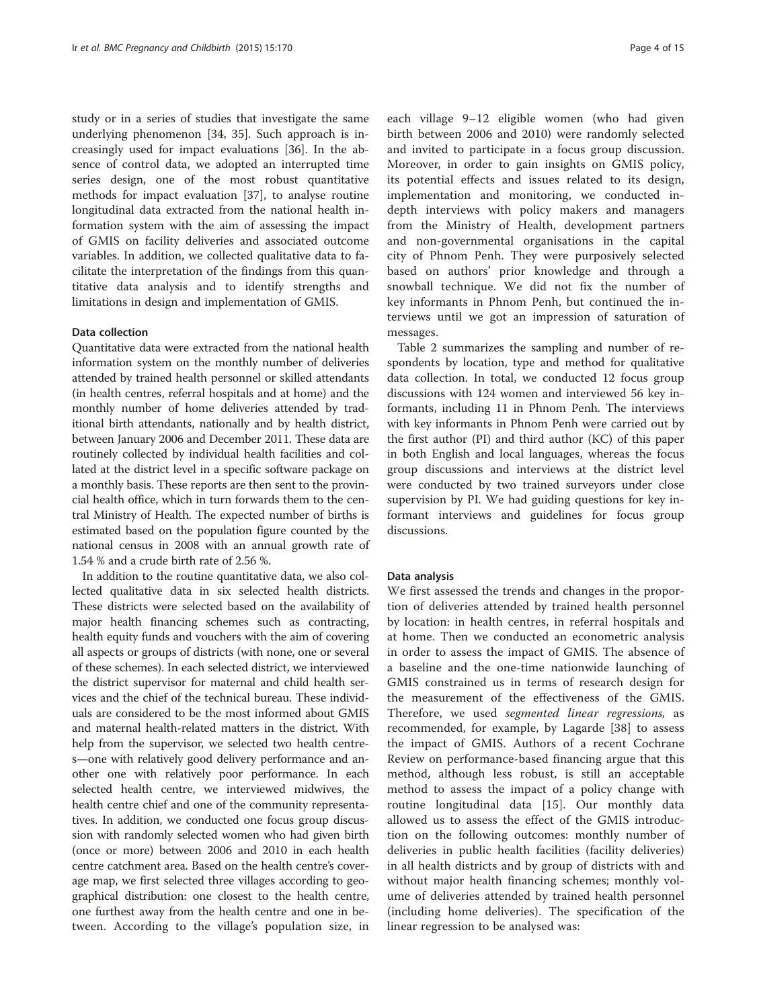study or in a series of studies that investigate the same underlying phenomenon [\[34, 35](#page-14-0)]. Such approach is increasingly used for impact evaluations [\[36\]](#page-14-0). In the absence of control data, we adopted an interrupted time series design, one of the most robust quantitative methods for impact evaluation [[37](#page-14-0)], to analyse routine longitudinal data extracted from the national health information system with the aim of assessing the impact of GMIS on facility deliveries and associated outcome variables. In addition, we collected qualitative data to facilitate the interpretation of the findings from this quantitative data analysis and to identify strengths and limitations in design and implementation of GMIS.

#### Data collection

Quantitative data were extracted from the national health information system on the monthly number of deliveries attended by trained health personnel or skilled attendants (in health centres, referral hospitals and at home) and the monthly number of home deliveries attended by traditional birth attendants, nationally and by health district, between January 2006 and December 2011. These data are routinely collected by individual health facilities and collated at the district level in a specific software package on a monthly basis. These reports are then sent to the provincial health office, which in turn forwards them to the central Ministry of Health. The expected number of births is estimated based on the population figure counted by the national census in 2008 with an annual growth rate of 1.54 % and a crude birth rate of 2.56 %.

In addition to the routine quantitative data, we also collected qualitative data in six selected health districts. These districts were selected based on the availability of major health financing schemes such as contracting, health equity funds and vouchers with the aim of covering all aspects or groups of districts (with none, one or several of these schemes). In each selected district, we interviewed the district supervisor for maternal and child health services and the chief of the technical bureau. These individuals are considered to be the most informed about GMIS and maternal health-related matters in the district. With help from the supervisor, we selected two health centres—one with relatively good delivery performance and another one with relatively poor performance. In each selected health centre, we interviewed midwives, the health centre chief and one of the community representatives. In addition, we conducted one focus group discussion with randomly selected women who had given birth (once or more) between 2006 and 2010 in each health centre catchment area. Based on the health centre's coverage map, we first selected three villages according to geographical distribution: one closest to the health centre, one furthest away from the health centre and one in between. According to the village's population size, in

each village 9–12 eligible women (who had given birth between 2006 and 2010) were randomly selected and invited to participate in a focus group discussion. Moreover, in order to gain insights on GMIS policy, its potential effects and issues related to its design, implementation and monitoring, we conducted indepth interviews with policy makers and managers from the Ministry of Health, development partners and non-governmental organisations in the capital city of Phnom Penh. They were purposively selected based on authors' prior knowledge and through a snowball technique. We did not fix the number of key informants in Phnom Penh, but continued the interviews until we got an impression of saturation of messages.

Table [2](#page-4-0) summarizes the sampling and number of respondents by location, type and method for qualitative data collection. In total, we conducted 12 focus group discussions with 124 women and interviewed 56 key informants, including 11 in Phnom Penh. The interviews with key informants in Phnom Penh were carried out by the first author (PI) and third author (KC) of this paper in both English and local languages, whereas the focus group discussions and interviews at the district level were conducted by two trained surveyors under close supervision by PI. We had guiding questions for key informant interviews and guidelines for focus group discussions.

#### Data analysis

We first assessed the trends and changes in the proportion of deliveries attended by trained health personnel by location: in health centres, in referral hospitals and at home. Then we conducted an econometric analysis in order to assess the impact of GMIS. The absence of a baseline and the one-time nationwide launching of GMIS constrained us in terms of research design for the measurement of the effectiveness of the GMIS. Therefore, we used segmented linear regressions, as recommended, for example, by Lagarde [[38\]](#page-14-0) to assess the impact of GMIS. Authors of a recent Cochrane Review on performance-based financing argue that this method, although less robust, is still an acceptable method to assess the impact of a policy change with routine longitudinal data [[15\]](#page-13-0). Our monthly data allowed us to assess the effect of the GMIS introduction on the following outcomes: monthly number of deliveries in public health facilities (facility deliveries) in all health districts and by group of districts with and without major health financing schemes; monthly volume of deliveries attended by trained health personnel (including home deliveries). The specification of the linear regression to be analysed was: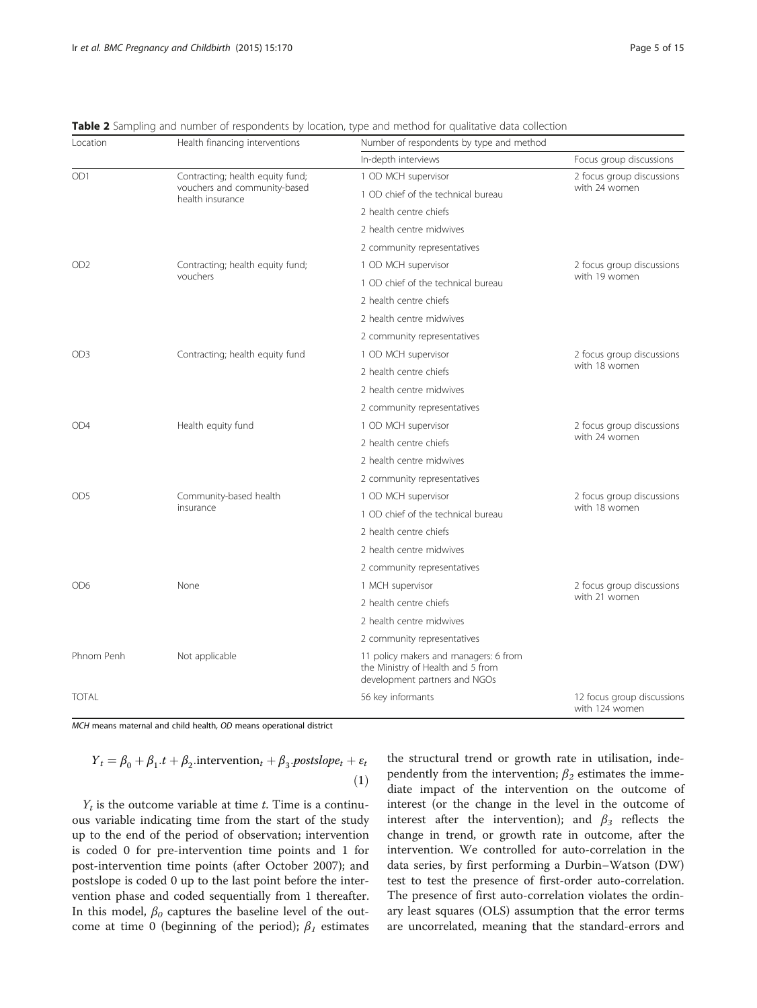| Location        | Health financing interventions                   | Number of respondents by type and method                                                                    |                                              |  |  |
|-----------------|--------------------------------------------------|-------------------------------------------------------------------------------------------------------------|----------------------------------------------|--|--|
|                 |                                                  | In-depth interviews                                                                                         | Focus group discussions                      |  |  |
| OD <sub>1</sub> | Contracting; health equity fund;                 | 1 OD MCH supervisor                                                                                         | 2 focus group discussions                    |  |  |
|                 | vouchers and community-based<br>health insurance | 1 OD chief of the technical bureau                                                                          | with 24 women                                |  |  |
|                 |                                                  | 2 health centre chiefs                                                                                      |                                              |  |  |
|                 |                                                  | 2 health centre midwives                                                                                    |                                              |  |  |
|                 |                                                  | 2 community representatives                                                                                 |                                              |  |  |
| OD <sub>2</sub> | Contracting; health equity fund;                 | 1 OD MCH supervisor                                                                                         | 2 focus group discussions                    |  |  |
|                 | vouchers                                         | 1 OD chief of the technical bureau                                                                          | with 19 women                                |  |  |
|                 |                                                  | 2 health centre chiefs                                                                                      |                                              |  |  |
|                 |                                                  | 2 health centre midwives                                                                                    |                                              |  |  |
|                 |                                                  | 2 community representatives                                                                                 |                                              |  |  |
| OD3             | Contracting; health equity fund                  | 1 OD MCH supervisor                                                                                         | 2 focus group discussions                    |  |  |
|                 |                                                  | 2 health centre chiefs                                                                                      | with 18 women                                |  |  |
|                 |                                                  | 2 health centre midwives                                                                                    |                                              |  |  |
|                 |                                                  | 2 community representatives                                                                                 |                                              |  |  |
| OD <sub>4</sub> | Health equity fund                               | 1 OD MCH supervisor                                                                                         | 2 focus group discussions                    |  |  |
|                 |                                                  | 2 health centre chiefs                                                                                      | with 24 women                                |  |  |
|                 |                                                  | 2 health centre midwives                                                                                    |                                              |  |  |
|                 |                                                  | 2 community representatives                                                                                 |                                              |  |  |
| OD <sub>5</sub> | Community-based health                           | 1 OD MCH supervisor                                                                                         | 2 focus group discussions                    |  |  |
|                 | insurance                                        | 1 OD chief of the technical bureau                                                                          | with 18 women                                |  |  |
|                 |                                                  | 2 health centre chiefs                                                                                      |                                              |  |  |
|                 |                                                  | 2 health centre midwives                                                                                    |                                              |  |  |
|                 |                                                  | 2 community representatives                                                                                 |                                              |  |  |
| OD <sub>6</sub> | None                                             | 1 MCH supervisor                                                                                            | 2 focus group discussions                    |  |  |
|                 |                                                  | 2 health centre chiefs                                                                                      | with 21 women                                |  |  |
|                 |                                                  | 2 health centre midwives                                                                                    |                                              |  |  |
|                 |                                                  | 2 community representatives                                                                                 |                                              |  |  |
| Phnom Penh      | Not applicable                                   | 11 policy makers and managers: 6 from<br>the Ministry of Health and 5 from<br>development partners and NGOs |                                              |  |  |
| <b>TOTAL</b>    |                                                  | 56 key informants                                                                                           | 12 focus group discussions<br>with 124 women |  |  |

<span id="page-4-0"></span>Table 2 Sampling and number of respondents by location, type and method for qualitative data collection

MCH means maternal and child health, OD means operational district

$$
Y_t = \beta_0 + \beta_1 \cdot t + \beta_2 \cdot \text{intervation}_t + \beta_3 \cdot \text{postslope}_t + \varepsilon_t
$$
\n
$$
(1)
$$

 $Y_t$  is the outcome variable at time t. Time is a continuous variable indicating time from the start of the study up to the end of the period of observation; intervention is coded 0 for pre-intervention time points and 1 for post-intervention time points (after October 2007); and postslope is coded 0 up to the last point before the intervention phase and coded sequentially from 1 thereafter. In this model,  $\beta_0$  captures the baseline level of the outcome at time 0 (beginning of the period);  $\beta_1$  estimates

the structural trend or growth rate in utilisation, independently from the intervention;  $\beta_2$  estimates the immediate impact of the intervention on the outcome of interest (or the change in the level in the outcome of interest after the intervention); and  $\beta_3$  reflects the change in trend, or growth rate in outcome, after the intervention. We controlled for auto-correlation in the data series, by first performing a Durbin–Watson (DW) test to test the presence of first-order auto-correlation. The presence of first auto-correlation violates the ordinary least squares (OLS) assumption that the error terms are uncorrelated, meaning that the standard-errors and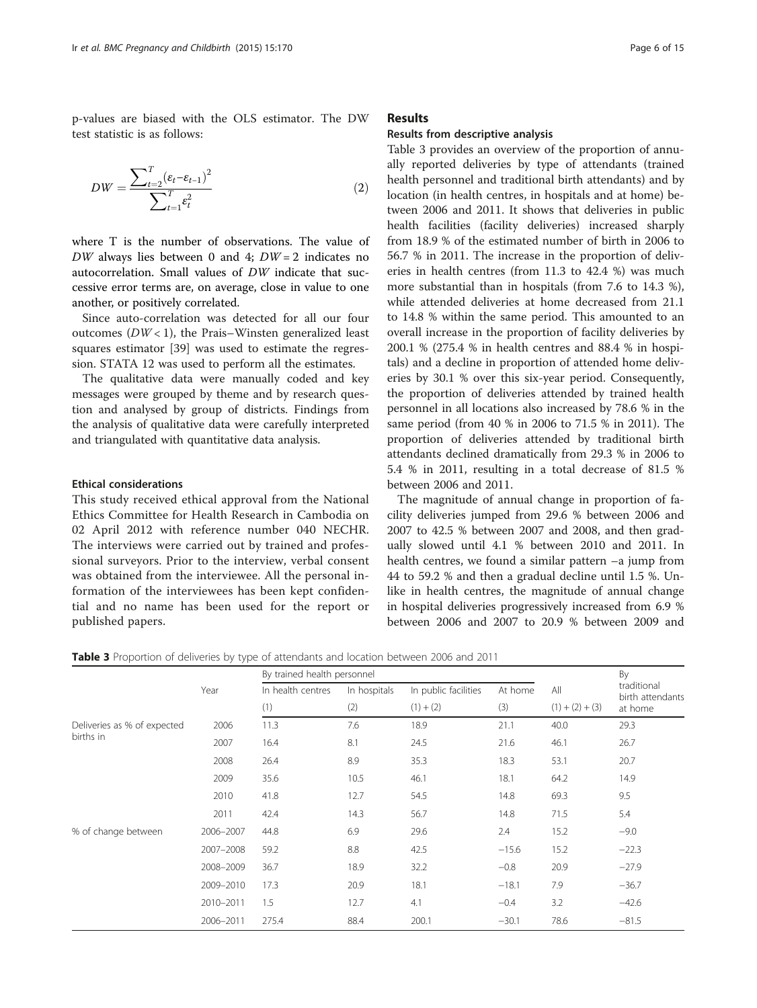<span id="page-5-0"></span>p-values are biased with the OLS estimator. The DW test statistic is as follows:

$$
DW = \frac{\sum_{t=2}^{T} (\varepsilon_t - \varepsilon_{t-1})^2}{\sum_{t=1}^{T} \varepsilon_t^2}
$$
 (2)

where T is the number of observations. The value of  $DW$  always lies between 0 and 4;  $DW = 2$  indicates no autocorrelation. Small values of DW indicate that successive error terms are, on average, close in value to one another, or positively correlated.

Since auto-correlation was detected for all our four outcomes  $(DW < 1)$ , the Prais–Winsten generalized least squares estimator [[39\]](#page-14-0) was used to estimate the regression. STATA 12 was used to perform all the estimates.

The qualitative data were manually coded and key messages were grouped by theme and by research question and analysed by group of districts. Findings from the analysis of qualitative data were carefully interpreted and triangulated with quantitative data analysis.

#### Ethical considerations

This study received ethical approval from the National Ethics Committee for Health Research in Cambodia on 02 April 2012 with reference number 040 NECHR. The interviews were carried out by trained and professional surveyors. Prior to the interview, verbal consent was obtained from the interviewee. All the personal information of the interviewees has been kept confidential and no name has been used for the report or published papers.

## Results

#### Results from descriptive analysis

Table 3 provides an overview of the proportion of annually reported deliveries by type of attendants (trained health personnel and traditional birth attendants) and by location (in health centres, in hospitals and at home) between 2006 and 2011. It shows that deliveries in public health facilities (facility deliveries) increased sharply from 18.9 % of the estimated number of birth in 2006 to 56.7 % in 2011. The increase in the proportion of deliveries in health centres (from 11.3 to 42.4 %) was much more substantial than in hospitals (from 7.6 to 14.3 %), while attended deliveries at home decreased from 21.1 to 14.8 % within the same period. This amounted to an overall increase in the proportion of facility deliveries by 200.1 % (275.4 % in health centres and 88.4 % in hospitals) and a decline in proportion of attended home deliveries by 30.1 % over this six-year period. Consequently, the proportion of deliveries attended by trained health personnel in all locations also increased by 78.6 % in the same period (from 40 % in 2006 to 71.5 % in 2011). The proportion of deliveries attended by traditional birth attendants declined dramatically from 29.3 % in 2006 to 5.4 % in 2011, resulting in a total decrease of 81.5 % between 2006 and 2011.

The magnitude of annual change in proportion of facility deliveries jumped from 29.6 % between 2006 and 2007 to 42.5 % between 2007 and 2008, and then gradually slowed until 4.1 % between 2010 and 2011. In health centres, we found a similar pattern  $-a$  jump from 44 to 59.2 % and then a gradual decline until 1.5 %. Unlike in health centres, the magnitude of annual change in hospital deliveries progressively increased from 6.9 % between 2006 and 2007 to 20.9 % between 2009 and

Table 3 Proportion of deliveries by type of attendants and location between 2006 and 2011

|                                          |           | By trained health personnel |              |                      |         | By                |                                 |
|------------------------------------------|-----------|-----------------------------|--------------|----------------------|---------|-------------------|---------------------------------|
|                                          | Year      | In health centres           | In hospitals | In public facilities | At home | All               | traditional<br>birth attendants |
|                                          |           | (1)                         | (2)          | $(1) + (2)$          | (3)     | $(1) + (2) + (3)$ | at home                         |
| Deliveries as % of expected<br>births in | 2006      | 11.3                        | 7.6          | 18.9                 | 21.1    | 40.0              | 29.3                            |
|                                          | 2007      | 16.4                        | 8.1          | 24.5                 | 21.6    | 46.1              | 26.7                            |
|                                          | 2008      | 26.4                        | 8.9          | 35.3                 | 18.3    | 53.1              | 20.7                            |
|                                          | 2009      | 35.6                        | 10.5         | 46.1                 | 18.1    | 64.2              | 14.9                            |
|                                          | 2010      | 41.8                        | 12.7         | 54.5                 | 14.8    | 69.3              | 9.5                             |
|                                          | 2011      | 42.4                        | 14.3         | 56.7                 | 14.8    | 71.5              | 5.4                             |
| % of change between                      | 2006-2007 | 44.8                        | 6.9          | 29.6                 | 2.4     | 15.2              | $-9.0$                          |
|                                          | 2007-2008 | 59.2                        | 8.8          | 42.5                 | $-15.6$ | 15.2              | $-22.3$                         |
|                                          | 2008-2009 | 36.7                        | 18.9         | 32.2                 | $-0.8$  | 20.9              | $-27.9$                         |
|                                          | 2009-2010 | 17.3                        | 20.9         | 18.1                 | $-18.1$ | 7.9               | $-36.7$                         |
|                                          | 2010-2011 | 1.5                         | 12.7         | 4.1                  | $-0.4$  | 3.2               | $-42.6$                         |
|                                          | 2006-2011 | 275.4                       | 88.4         | 200.1                | $-30.1$ | 78.6              | $-81.5$                         |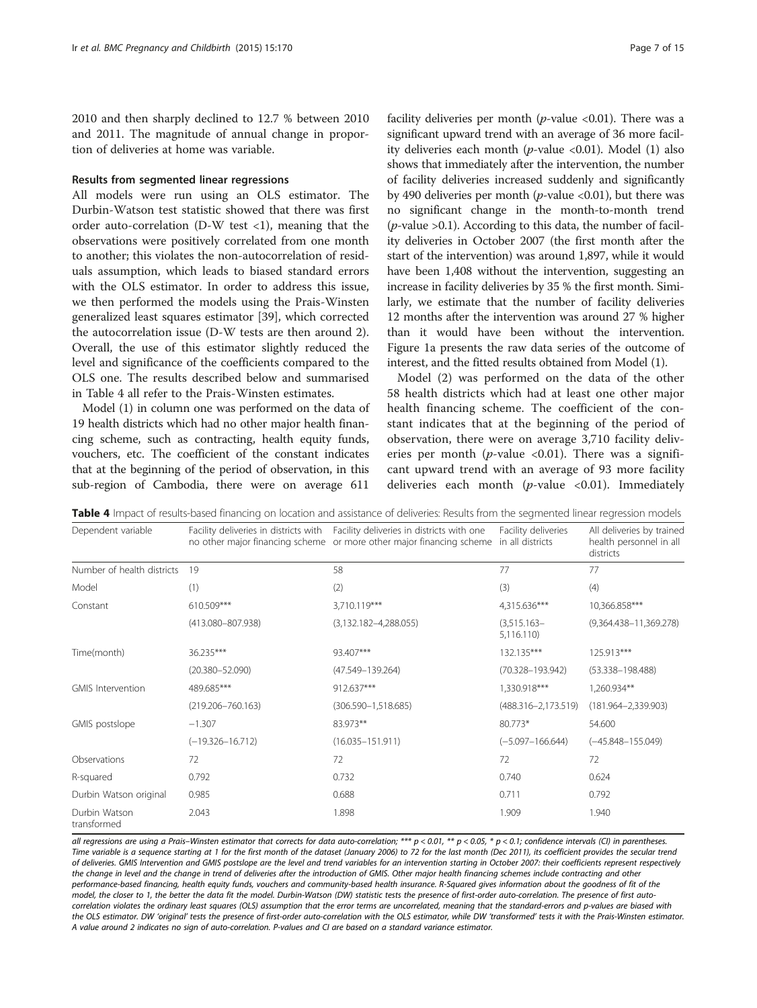2010 and then sharply declined to 12.7 % between 2010 and 2011. The magnitude of annual change in proportion of deliveries at home was variable.

#### Results from segmented linear regressions

All models were run using an OLS estimator. The Durbin-Watson test statistic showed that there was first order auto-correlation (D-W test  $\langle 1 \rangle$ , meaning that the observations were positively correlated from one month to another; this violates the non-autocorrelation of residuals assumption, which leads to biased standard errors with the OLS estimator. In order to address this issue, we then performed the models using the Prais-Winsten generalized least squares estimator [\[39\]](#page-14-0), which corrected the autocorrelation issue (D-W tests are then around 2). Overall, the use of this estimator slightly reduced the level and significance of the coefficients compared to the OLS one. The results described below and summarised in Table 4 all refer to the Prais-Winsten estimates.

Model (1) in column one was performed on the data of 19 health districts which had no other major health financing scheme, such as contracting, health equity funds, vouchers, etc. The coefficient of the constant indicates that at the beginning of the period of observation, in this sub-region of Cambodia, there were on average 611

facility deliveries per month ( $p$ -value <0.01). There was a significant upward trend with an average of 36 more facility deliveries each month ( $p$ -value <0.01). Model (1) also shows that immediately after the intervention, the number of facility deliveries increased suddenly and significantly by 490 deliveries per month (*p*-value <0.01), but there was no significant change in the month-to-month trend  $(p$ -value >0.1). According to this data, the number of facility deliveries in October 2007 (the first month after the start of the intervention) was around 1,897, while it would have been 1,408 without the intervention, suggesting an increase in facility deliveries by 35 % the first month. Similarly, we estimate that the number of facility deliveries 12 months after the intervention was around 27 % higher than it would have been without the intervention. Figure 1a presents the raw data series of the outcome of interest, and the fitted results obtained from Model (1).

Model (2) was performed on the data of the other 58 health districts which had at least one other major health financing scheme. The coefficient of the constant indicates that at the beginning of the period of observation, there were on average 3,710 facility deliveries per month ( $p$ -value <0.01). There was a significant upward trend with an average of 93 more facility deliveries each month ( $p$ -value <0.01). Immediately

| Dependent variable           |                       | Facility deliveries in districts with Facility deliveries in districts with one<br>no other major financing scheme or more other major financing scheme in all districts | Facility deliveries         | All deliveries by trained<br>health personnel in all |  |
|------------------------------|-----------------------|--------------------------------------------------------------------------------------------------------------------------------------------------------------------------|-----------------------------|------------------------------------------------------|--|
|                              |                       |                                                                                                                                                                          |                             | districts                                            |  |
| Number of health districts   | 19                    | 58                                                                                                                                                                       | 77                          | 77                                                   |  |
| Model                        | (1)                   | (2)                                                                                                                                                                      | (3)                         | (4)                                                  |  |
| Constant                     | 610.509***            | 3,710.119***                                                                                                                                                             | 4,315.636***                | 10,366.858***                                        |  |
|                              | $(413.080 - 807.938)$ | $(3, 132.182 - 4, 288.055)$                                                                                                                                              | $(3,515.163-$<br>5,116.110) | $(9,364.438 - 11,369.278)$                           |  |
| Time(month)                  | 36.235***             | 93.407***                                                                                                                                                                | 132.135***                  | 125.913***                                           |  |
|                              | $(20.380 - 52.090)$   | $(47.549 - 139.264)$                                                                                                                                                     | $(70.328 - 193.942)$        | $(53.338 - 198.488)$                                 |  |
| <b>GMIS Intervention</b>     | 489.685***            | 912.637***                                                                                                                                                               | 1,330.918***                | 1,260.934**                                          |  |
|                              | $(219.206 - 760.163)$ | $(306.590 - 1, 518.685)$                                                                                                                                                 | $(488.316 - 2, 173.519)$    | $(181.964 - 2,339.903)$                              |  |
| GMIS postslope               | $-1.307$              | 83.973**                                                                                                                                                                 | 80.773*                     | 54.600                                               |  |
|                              | $(-19.326 - 16.712)$  | $(16.035 - 151.911)$                                                                                                                                                     | $(-5.097 - 166.644)$        | $(-45.848 - 155.049)$                                |  |
| Observations                 | 72                    | 72                                                                                                                                                                       | 72                          | 72                                                   |  |
| R-squared                    | 0.792                 | 0.732                                                                                                                                                                    | 0.740                       | 0.624                                                |  |
| Durbin Watson original       | 0.985                 | 0.688                                                                                                                                                                    | 0.711                       | 0.792                                                |  |
| Durbin Watson<br>transformed | 2.043                 | 1.898                                                                                                                                                                    | 1.909                       | 1.940                                                |  |

Table 4 Impact of results-based financing on location and assistance of deliveries: Results from the segmented linear regression models

all regressions are using a Prais–Winsten estimator that corrects for data auto-correlation; \*\*\*  $p < 0.01$ , \*\*  $p < 0.05$ , \*  $p < 0.1$ ; confidence intervals (CI) in parentheses. Time variable is a sequence starting at 1 for the first month of the dataset (January 2006) to 72 for the last month (Dec 2011), its coefficient provides the secular trend of deliveries. GMIS Intervention and GMIS postslope are the level and trend variables for an intervention starting in October 2007: their coefficients represent respectively the change in level and the change in trend of deliveries after the introduction of GMIS. Other major health financing schemes include contracting and other performance-based financing, health equity funds, vouchers and community-based health insurance. R-Squared gives information about the goodness of fit of the model, the closer to 1, the better the data fit the model. Durbin-Watson (DW) statistic tests the presence of first-order auto-correlation. The presence of first autocorrelation violates the ordinary least squares (OLS) assumption that the error terms are uncorrelated, meaning that the standard-errors and p-values are biased with the OLS estimator. DW 'original' tests the presence of first-order auto-correlation with the OLS estimator, while DW 'transformed' tests it with the Prais-Winsten estimator. A value around 2 indicates no sign of auto-correlation. P-values and CI are based on a standard variance estimator.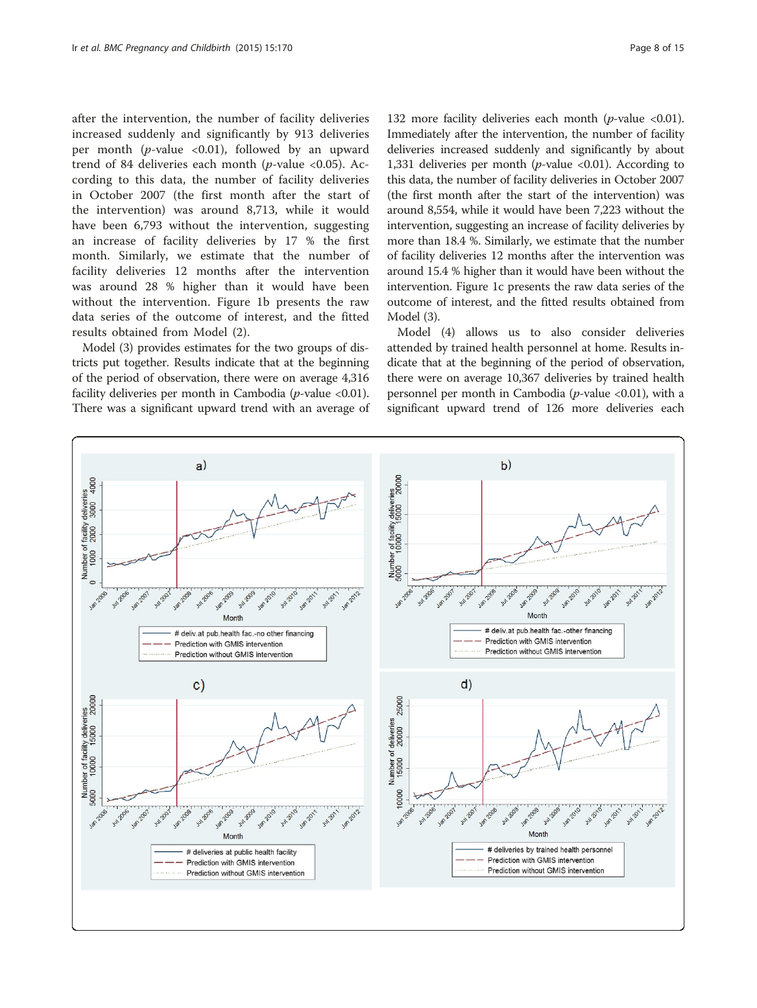after the intervention, the number of facility deliveries increased suddenly and significantly by 913 deliveries per month ( $p$ -value <0.01), followed by an upward trend of 84 deliveries each month ( $p$ -value <0.05). According to this data, the number of facility deliveries in October 2007 (the first month after the start of the intervention) was around 8,713, while it would have been 6,793 without the intervention, suggesting an increase of facility deliveries by 17 % the first month. Similarly, we estimate that the number of facility deliveries 12 months after the intervention was around 28 % higher than it would have been without the intervention. Figure 1b presents the raw data series of the outcome of interest, and the fitted results obtained from Model (2).

Model (3) provides estimates for the two groups of districts put together. Results indicate that at the beginning of the period of observation, there were on average 4,316 facility deliveries per month in Cambodia ( $p$ -value <0.01). There was a significant upward trend with an average of

132 more facility deliveries each month ( $p$ -value <0.01). Immediately after the intervention, the number of facility deliveries increased suddenly and significantly by about 1,331 deliveries per month ( $p$ -value <0.01). According to this data, the number of facility deliveries in October 2007 (the first month after the start of the intervention) was around 8,554, while it would have been 7,223 without the intervention, suggesting an increase of facility deliveries by more than 18.4 %. Similarly, we estimate that the number of facility deliveries 12 months after the intervention was around 15.4 % higher than it would have been without the intervention. Figure 1c presents the raw data series of the outcome of interest, and the fitted results obtained from Model (3).

Model (4) allows us to also consider deliveries attended by trained health personnel at home. Results indicate that at the beginning of the period of observation, there were on average 10,367 deliveries by trained health personnel per month in Cambodia ( $p$ -value <0.01), with a significant upward trend of 126 more deliveries each

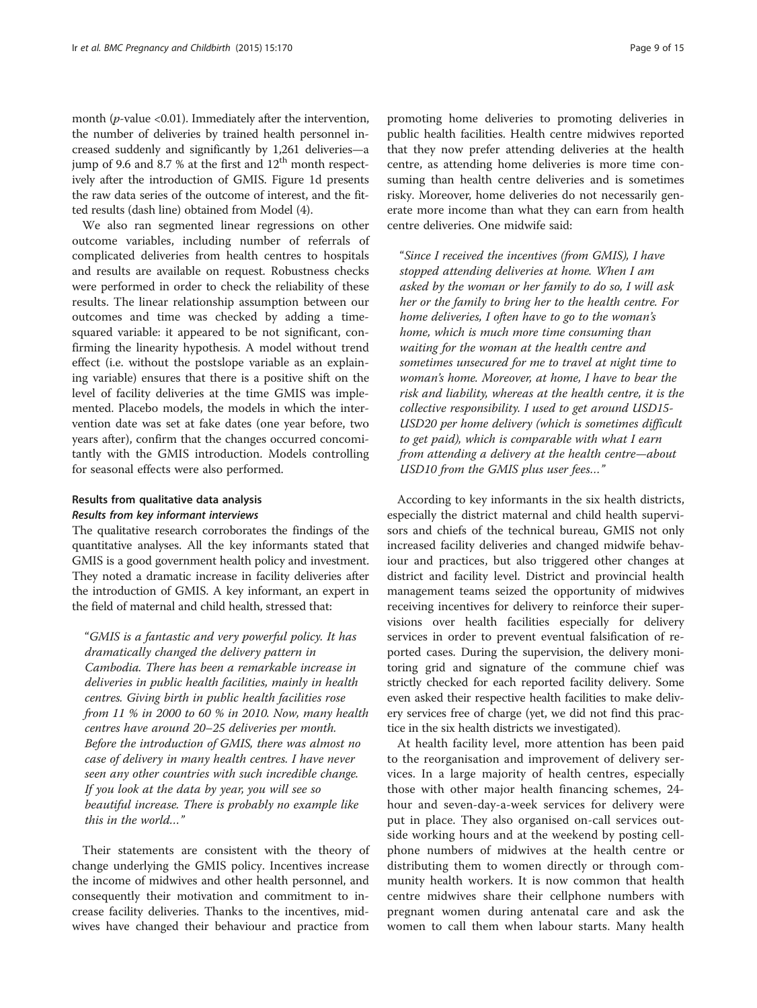month ( $p$ -value <0.01). Immediately after the intervention, the number of deliveries by trained health personnel increased suddenly and significantly by 1,261 deliveries—a jump of 9.6 and 8.7 % at the first and  $12<sup>th</sup>$  month respectively after the introduction of GMIS. Figure 1d presents the raw data series of the outcome of interest, and the fitted results (dash line) obtained from Model (4).

We also ran segmented linear regressions on other outcome variables, including number of referrals of complicated deliveries from health centres to hospitals and results are available on request. Robustness checks were performed in order to check the reliability of these results. The linear relationship assumption between our outcomes and time was checked by adding a timesquared variable: it appeared to be not significant, confirming the linearity hypothesis. A model without trend effect (i.e. without the postslope variable as an explaining variable) ensures that there is a positive shift on the level of facility deliveries at the time GMIS was implemented. Placebo models, the models in which the intervention date was set at fake dates (one year before, two years after), confirm that the changes occurred concomitantly with the GMIS introduction. Models controlling for seasonal effects were also performed.

# Results from qualitative data analysis Results from key informant interviews

The qualitative research corroborates the findings of the quantitative analyses. All the key informants stated that GMIS is a good government health policy and investment. They noted a dramatic increase in facility deliveries after the introduction of GMIS. A key informant, an expert in the field of maternal and child health, stressed that:

"GMIS is a fantastic and very powerful policy. It has dramatically changed the delivery pattern in Cambodia. There has been a remarkable increase in deliveries in public health facilities, mainly in health centres. Giving birth in public health facilities rose from 11 % in 2000 to 60 % in 2010. Now, many health centres have around 20–25 deliveries per month. Before the introduction of GMIS, there was almost no case of delivery in many health centres. I have never seen any other countries with such incredible change. If you look at the data by year, you will see so beautiful increase. There is probably no example like this in the world…"

Their statements are consistent with the theory of change underlying the GMIS policy. Incentives increase the income of midwives and other health personnel, and consequently their motivation and commitment to increase facility deliveries. Thanks to the incentives, midwives have changed their behaviour and practice from promoting home deliveries to promoting deliveries in public health facilities. Health centre midwives reported that they now prefer attending deliveries at the health centre, as attending home deliveries is more time consuming than health centre deliveries and is sometimes risky. Moreover, home deliveries do not necessarily generate more income than what they can earn from health centre deliveries. One midwife said:

"Since I received the incentives (from GMIS), I have stopped attending deliveries at home. When I am asked by the woman or her family to do so, I will ask her or the family to bring her to the health centre. For home deliveries, I often have to go to the woman's home, which is much more time consuming than waiting for the woman at the health centre and sometimes unsecured for me to travel at night time to woman's home. Moreover, at home, I have to bear the risk and liability, whereas at the health centre, it is the collective responsibility. I used to get around USD15- USD20 per home delivery (which is sometimes difficult to get paid), which is comparable with what I earn from attending a delivery at the health centre—about USD10 from the GMIS plus user fees…"

According to key informants in the six health districts, especially the district maternal and child health supervisors and chiefs of the technical bureau, GMIS not only increased facility deliveries and changed midwife behaviour and practices, but also triggered other changes at district and facility level. District and provincial health management teams seized the opportunity of midwives receiving incentives for delivery to reinforce their supervisions over health facilities especially for delivery services in order to prevent eventual falsification of reported cases. During the supervision, the delivery monitoring grid and signature of the commune chief was strictly checked for each reported facility delivery. Some even asked their respective health facilities to make delivery services free of charge (yet, we did not find this practice in the six health districts we investigated).

At health facility level, more attention has been paid to the reorganisation and improvement of delivery services. In a large majority of health centres, especially those with other major health financing schemes, 24 hour and seven-day-a-week services for delivery were put in place. They also organised on-call services outside working hours and at the weekend by posting cellphone numbers of midwives at the health centre or distributing them to women directly or through community health workers. It is now common that health centre midwives share their cellphone numbers with pregnant women during antenatal care and ask the women to call them when labour starts. Many health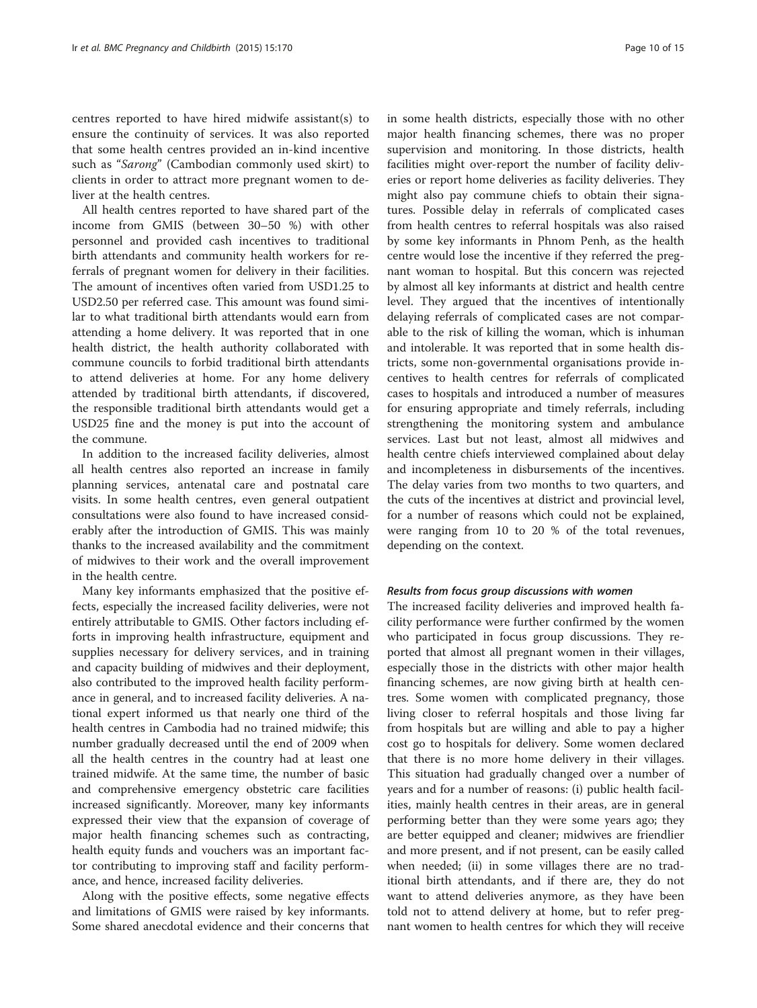centres reported to have hired midwife assistant(s) to ensure the continuity of services. It was also reported that some health centres provided an in-kind incentive such as "Sarong" (Cambodian commonly used skirt) to clients in order to attract more pregnant women to deliver at the health centres.

All health centres reported to have shared part of the income from GMIS (between 30–50 %) with other personnel and provided cash incentives to traditional birth attendants and community health workers for referrals of pregnant women for delivery in their facilities. The amount of incentives often varied from USD1.25 to USD2.50 per referred case. This amount was found similar to what traditional birth attendants would earn from attending a home delivery. It was reported that in one health district, the health authority collaborated with commune councils to forbid traditional birth attendants to attend deliveries at home. For any home delivery attended by traditional birth attendants, if discovered, the responsible traditional birth attendants would get a USD25 fine and the money is put into the account of the commune.

In addition to the increased facility deliveries, almost all health centres also reported an increase in family planning services, antenatal care and postnatal care visits. In some health centres, even general outpatient consultations were also found to have increased considerably after the introduction of GMIS. This was mainly thanks to the increased availability and the commitment of midwives to their work and the overall improvement in the health centre.

Many key informants emphasized that the positive effects, especially the increased facility deliveries, were not entirely attributable to GMIS. Other factors including efforts in improving health infrastructure, equipment and supplies necessary for delivery services, and in training and capacity building of midwives and their deployment, also contributed to the improved health facility performance in general, and to increased facility deliveries. A national expert informed us that nearly one third of the health centres in Cambodia had no trained midwife; this number gradually decreased until the end of 2009 when all the health centres in the country had at least one trained midwife. At the same time, the number of basic and comprehensive emergency obstetric care facilities increased significantly. Moreover, many key informants expressed their view that the expansion of coverage of major health financing schemes such as contracting, health equity funds and vouchers was an important factor contributing to improving staff and facility performance, and hence, increased facility deliveries.

Along with the positive effects, some negative effects and limitations of GMIS were raised by key informants. Some shared anecdotal evidence and their concerns that in some health districts, especially those with no other major health financing schemes, there was no proper supervision and monitoring. In those districts, health facilities might over-report the number of facility deliveries or report home deliveries as facility deliveries. They might also pay commune chiefs to obtain their signatures. Possible delay in referrals of complicated cases from health centres to referral hospitals was also raised by some key informants in Phnom Penh, as the health centre would lose the incentive if they referred the pregnant woman to hospital. But this concern was rejected by almost all key informants at district and health centre level. They argued that the incentives of intentionally delaying referrals of complicated cases are not comparable to the risk of killing the woman, which is inhuman and intolerable. It was reported that in some health districts, some non-governmental organisations provide incentives to health centres for referrals of complicated cases to hospitals and introduced a number of measures for ensuring appropriate and timely referrals, including strengthening the monitoring system and ambulance services. Last but not least, almost all midwives and health centre chiefs interviewed complained about delay and incompleteness in disbursements of the incentives. The delay varies from two months to two quarters, and the cuts of the incentives at district and provincial level, for a number of reasons which could not be explained, were ranging from 10 to 20 % of the total revenues, depending on the context.

### Results from focus group discussions with women

The increased facility deliveries and improved health facility performance were further confirmed by the women who participated in focus group discussions. They reported that almost all pregnant women in their villages, especially those in the districts with other major health financing schemes, are now giving birth at health centres. Some women with complicated pregnancy, those living closer to referral hospitals and those living far from hospitals but are willing and able to pay a higher cost go to hospitals for delivery. Some women declared that there is no more home delivery in their villages. This situation had gradually changed over a number of years and for a number of reasons: (i) public health facilities, mainly health centres in their areas, are in general performing better than they were some years ago; they are better equipped and cleaner; midwives are friendlier and more present, and if not present, can be easily called when needed; (ii) in some villages there are no traditional birth attendants, and if there are, they do not want to attend deliveries anymore, as they have been told not to attend delivery at home, but to refer pregnant women to health centres for which they will receive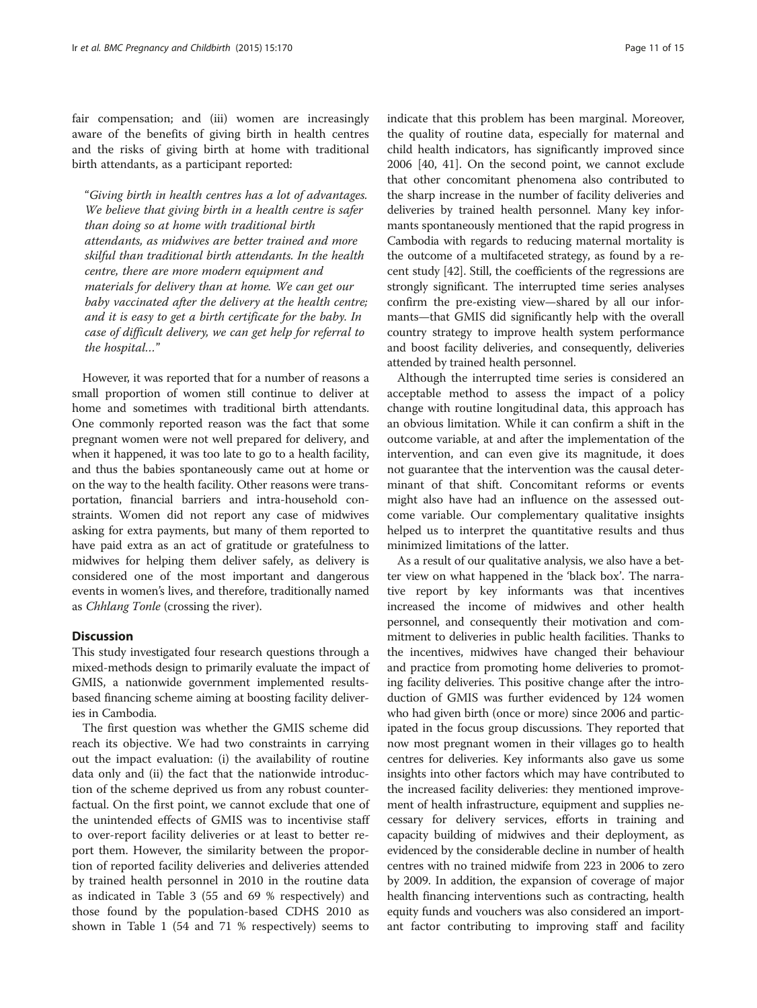fair compensation; and (iii) women are increasingly aware of the benefits of giving birth in health centres and the risks of giving birth at home with traditional birth attendants, as a participant reported:

"Giving birth in health centres has a lot of advantages. We believe that giving birth in a health centre is safer than doing so at home with traditional birth attendants, as midwives are better trained and more skilful than traditional birth attendants. In the health centre, there are more modern equipment and materials for delivery than at home. We can get our baby vaccinated after the delivery at the health centre; and it is easy to get a birth certificate for the baby. In case of difficult delivery, we can get help for referral to the hospital…"

However, it was reported that for a number of reasons a small proportion of women still continue to deliver at home and sometimes with traditional birth attendants. One commonly reported reason was the fact that some pregnant women were not well prepared for delivery, and when it happened, it was too late to go to a health facility, and thus the babies spontaneously came out at home or on the way to the health facility. Other reasons were transportation, financial barriers and intra-household constraints. Women did not report any case of midwives asking for extra payments, but many of them reported to have paid extra as an act of gratitude or gratefulness to midwives for helping them deliver safely, as delivery is considered one of the most important and dangerous events in women's lives, and therefore, traditionally named as Chhlang Tonle (crossing the river).

#### **Discussion**

This study investigated four research questions through a mixed-methods design to primarily evaluate the impact of GMIS, a nationwide government implemented resultsbased financing scheme aiming at boosting facility deliveries in Cambodia.

The first question was whether the GMIS scheme did reach its objective. We had two constraints in carrying out the impact evaluation: (i) the availability of routine data only and (ii) the fact that the nationwide introduction of the scheme deprived us from any robust counterfactual. On the first point, we cannot exclude that one of the unintended effects of GMIS was to incentivise staff to over-report facility deliveries or at least to better report them. However, the similarity between the proportion of reported facility deliveries and deliveries attended by trained health personnel in 2010 in the routine data as indicated in Table [3](#page-5-0) (55 and 69 % respectively) and those found by the population-based CDHS 2010 as shown in Table [1](#page-2-0) (54 and 71 % respectively) seems to

indicate that this problem has been marginal. Moreover, the quality of routine data, especially for maternal and child health indicators, has significantly improved since 2006 [[40, 41](#page-14-0)]. On the second point, we cannot exclude that other concomitant phenomena also contributed to the sharp increase in the number of facility deliveries and deliveries by trained health personnel. Many key informants spontaneously mentioned that the rapid progress in Cambodia with regards to reducing maternal mortality is the outcome of a multifaceted strategy, as found by a recent study [\[42\]](#page-14-0). Still, the coefficients of the regressions are strongly significant. The interrupted time series analyses confirm the pre-existing view—shared by all our informants—that GMIS did significantly help with the overall country strategy to improve health system performance and boost facility deliveries, and consequently, deliveries attended by trained health personnel.

Although the interrupted time series is considered an acceptable method to assess the impact of a policy change with routine longitudinal data, this approach has an obvious limitation. While it can confirm a shift in the outcome variable, at and after the implementation of the intervention, and can even give its magnitude, it does not guarantee that the intervention was the causal determinant of that shift. Concomitant reforms or events might also have had an influence on the assessed outcome variable. Our complementary qualitative insights helped us to interpret the quantitative results and thus minimized limitations of the latter.

As a result of our qualitative analysis, we also have a better view on what happened in the 'black box'. The narrative report by key informants was that incentives increased the income of midwives and other health personnel, and consequently their motivation and commitment to deliveries in public health facilities. Thanks to the incentives, midwives have changed their behaviour and practice from promoting home deliveries to promoting facility deliveries. This positive change after the introduction of GMIS was further evidenced by 124 women who had given birth (once or more) since 2006 and participated in the focus group discussions. They reported that now most pregnant women in their villages go to health centres for deliveries. Key informants also gave us some insights into other factors which may have contributed to the increased facility deliveries: they mentioned improvement of health infrastructure, equipment and supplies necessary for delivery services, efforts in training and capacity building of midwives and their deployment, as evidenced by the considerable decline in number of health centres with no trained midwife from 223 in 2006 to zero by 2009. In addition, the expansion of coverage of major health financing interventions such as contracting, health equity funds and vouchers was also considered an important factor contributing to improving staff and facility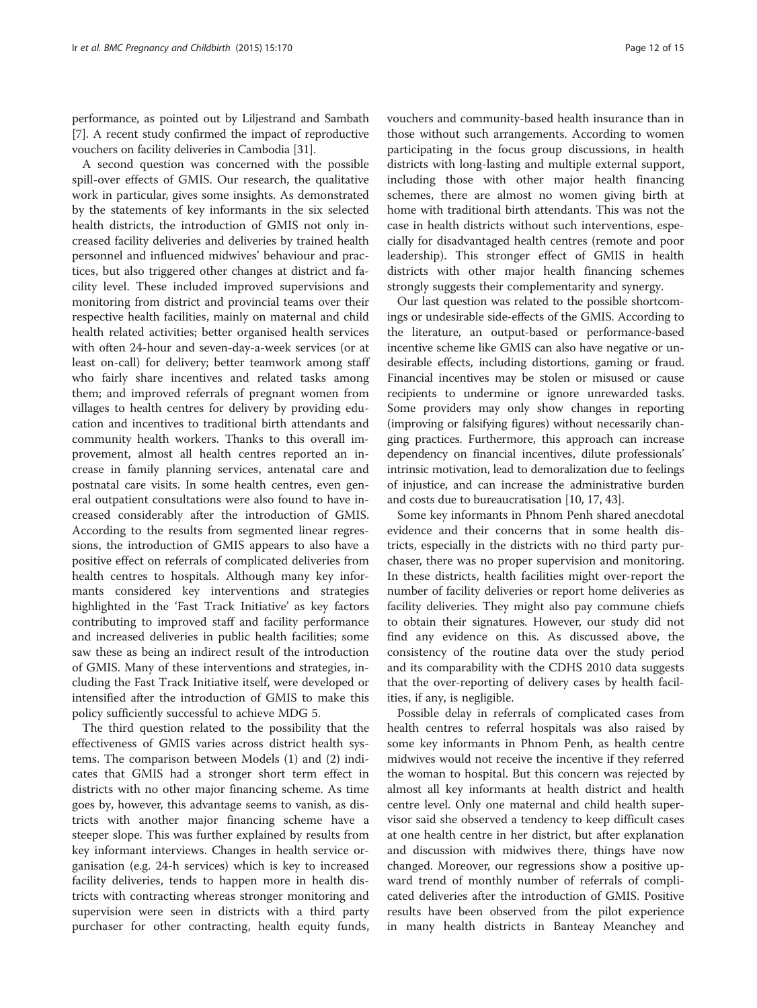performance, as pointed out by Liljestrand and Sambath [[7\]](#page-13-0). A recent study confirmed the impact of reproductive vouchers on facility deliveries in Cambodia [[31](#page-13-0)].

A second question was concerned with the possible spill-over effects of GMIS. Our research, the qualitative work in particular, gives some insights. As demonstrated by the statements of key informants in the six selected health districts, the introduction of GMIS not only increased facility deliveries and deliveries by trained health personnel and influenced midwives' behaviour and practices, but also triggered other changes at district and facility level. These included improved supervisions and monitoring from district and provincial teams over their respective health facilities, mainly on maternal and child health related activities; better organised health services with often 24-hour and seven-day-a-week services (or at least on-call) for delivery; better teamwork among staff who fairly share incentives and related tasks among them; and improved referrals of pregnant women from villages to health centres for delivery by providing education and incentives to traditional birth attendants and community health workers. Thanks to this overall improvement, almost all health centres reported an increase in family planning services, antenatal care and postnatal care visits. In some health centres, even general outpatient consultations were also found to have increased considerably after the introduction of GMIS. According to the results from segmented linear regressions, the introduction of GMIS appears to also have a positive effect on referrals of complicated deliveries from health centres to hospitals. Although many key informants considered key interventions and strategies highlighted in the 'Fast Track Initiative' as key factors contributing to improved staff and facility performance and increased deliveries in public health facilities; some saw these as being an indirect result of the introduction of GMIS. Many of these interventions and strategies, including the Fast Track Initiative itself, were developed or intensified after the introduction of GMIS to make this policy sufficiently successful to achieve MDG 5.

The third question related to the possibility that the effectiveness of GMIS varies across district health systems. The comparison between Models (1) and (2) indicates that GMIS had a stronger short term effect in districts with no other major financing scheme. As time goes by, however, this advantage seems to vanish, as districts with another major financing scheme have a steeper slope. This was further explained by results from key informant interviews. Changes in health service organisation (e.g. 24-h services) which is key to increased facility deliveries, tends to happen more in health districts with contracting whereas stronger monitoring and supervision were seen in districts with a third party purchaser for other contracting, health equity funds,

vouchers and community-based health insurance than in those without such arrangements. According to women participating in the focus group discussions, in health districts with long-lasting and multiple external support, including those with other major health financing schemes, there are almost no women giving birth at home with traditional birth attendants. This was not the case in health districts without such interventions, especially for disadvantaged health centres (remote and poor leadership). This stronger effect of GMIS in health districts with other major health financing schemes strongly suggests their complementarity and synergy.

Our last question was related to the possible shortcomings or undesirable side-effects of the GMIS. According to the literature, an output-based or performance-based incentive scheme like GMIS can also have negative or undesirable effects, including distortions, gaming or fraud. Financial incentives may be stolen or misused or cause recipients to undermine or ignore unrewarded tasks. Some providers may only show changes in reporting (improving or falsifying figures) without necessarily changing practices. Furthermore, this approach can increase dependency on financial incentives, dilute professionals' intrinsic motivation, lead to demoralization due to feelings of injustice, and can increase the administrative burden and costs due to bureaucratisation [[10](#page-13-0), [17,](#page-13-0) [43](#page-14-0)].

Some key informants in Phnom Penh shared anecdotal evidence and their concerns that in some health districts, especially in the districts with no third party purchaser, there was no proper supervision and monitoring. In these districts, health facilities might over-report the number of facility deliveries or report home deliveries as facility deliveries. They might also pay commune chiefs to obtain their signatures. However, our study did not find any evidence on this. As discussed above, the consistency of the routine data over the study period and its comparability with the CDHS 2010 data suggests that the over-reporting of delivery cases by health facilities, if any, is negligible.

Possible delay in referrals of complicated cases from health centres to referral hospitals was also raised by some key informants in Phnom Penh, as health centre midwives would not receive the incentive if they referred the woman to hospital. But this concern was rejected by almost all key informants at health district and health centre level. Only one maternal and child health supervisor said she observed a tendency to keep difficult cases at one health centre in her district, but after explanation and discussion with midwives there, things have now changed. Moreover, our regressions show a positive upward trend of monthly number of referrals of complicated deliveries after the introduction of GMIS. Positive results have been observed from the pilot experience in many health districts in Banteay Meanchey and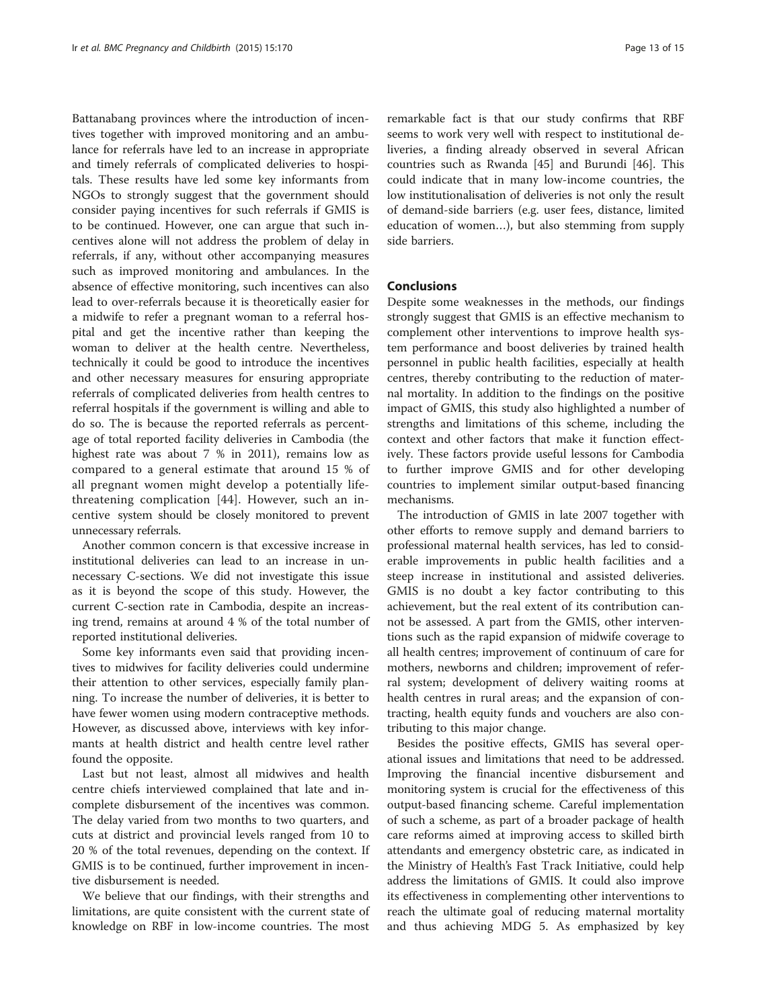Battanabang provinces where the introduction of incentives together with improved monitoring and an ambulance for referrals have led to an increase in appropriate and timely referrals of complicated deliveries to hospitals. These results have led some key informants from NGOs to strongly suggest that the government should consider paying incentives for such referrals if GMIS is to be continued. However, one can argue that such incentives alone will not address the problem of delay in referrals, if any, without other accompanying measures such as improved monitoring and ambulances. In the absence of effective monitoring, such incentives can also lead to over-referrals because it is theoretically easier for a midwife to refer a pregnant woman to a referral hospital and get the incentive rather than keeping the woman to deliver at the health centre. Nevertheless, technically it could be good to introduce the incentives and other necessary measures for ensuring appropriate referrals of complicated deliveries from health centres to referral hospitals if the government is willing and able to do so. The is because the reported referrals as percentage of total reported facility deliveries in Cambodia (the highest rate was about 7 % in 2011), remains low as compared to a general estimate that around 15 % of all pregnant women might develop a potentially lifethreatening complication [[44](#page-14-0)]. However, such an incentive system should be closely monitored to prevent unnecessary referrals.

Another common concern is that excessive increase in institutional deliveries can lead to an increase in unnecessary C-sections. We did not investigate this issue as it is beyond the scope of this study. However, the current C-section rate in Cambodia, despite an increasing trend, remains at around 4 % of the total number of reported institutional deliveries.

Some key informants even said that providing incentives to midwives for facility deliveries could undermine their attention to other services, especially family planning. To increase the number of deliveries, it is better to have fewer women using modern contraceptive methods. However, as discussed above, interviews with key informants at health district and health centre level rather found the opposite.

Last but not least, almost all midwives and health centre chiefs interviewed complained that late and incomplete disbursement of the incentives was common. The delay varied from two months to two quarters, and cuts at district and provincial levels ranged from 10 to 20 % of the total revenues, depending on the context. If GMIS is to be continued, further improvement in incentive disbursement is needed.

We believe that our findings, with their strengths and limitations, are quite consistent with the current state of knowledge on RBF in low-income countries. The most

remarkable fact is that our study confirms that RBF seems to work very well with respect to institutional deliveries, a finding already observed in several African countries such as Rwanda [[45\]](#page-14-0) and Burundi [[46\]](#page-14-0). This could indicate that in many low-income countries, the low institutionalisation of deliveries is not only the result of demand-side barriers (e.g. user fees, distance, limited education of women…), but also stemming from supply side barriers.

#### Conclusions

Despite some weaknesses in the methods, our findings strongly suggest that GMIS is an effective mechanism to complement other interventions to improve health system performance and boost deliveries by trained health personnel in public health facilities, especially at health centres, thereby contributing to the reduction of maternal mortality. In addition to the findings on the positive impact of GMIS, this study also highlighted a number of strengths and limitations of this scheme, including the context and other factors that make it function effectively. These factors provide useful lessons for Cambodia to further improve GMIS and for other developing countries to implement similar output-based financing mechanisms.

The introduction of GMIS in late 2007 together with other efforts to remove supply and demand barriers to professional maternal health services, has led to considerable improvements in public health facilities and a steep increase in institutional and assisted deliveries. GMIS is no doubt a key factor contributing to this achievement, but the real extent of its contribution cannot be assessed. A part from the GMIS, other interventions such as the rapid expansion of midwife coverage to all health centres; improvement of continuum of care for mothers, newborns and children; improvement of referral system; development of delivery waiting rooms at health centres in rural areas; and the expansion of contracting, health equity funds and vouchers are also contributing to this major change.

Besides the positive effects, GMIS has several operational issues and limitations that need to be addressed. Improving the financial incentive disbursement and monitoring system is crucial for the effectiveness of this output-based financing scheme. Careful implementation of such a scheme, as part of a broader package of health care reforms aimed at improving access to skilled birth attendants and emergency obstetric care, as indicated in the Ministry of Health's Fast Track Initiative, could help address the limitations of GMIS. It could also improve its effectiveness in complementing other interventions to reach the ultimate goal of reducing maternal mortality and thus achieving MDG 5. As emphasized by key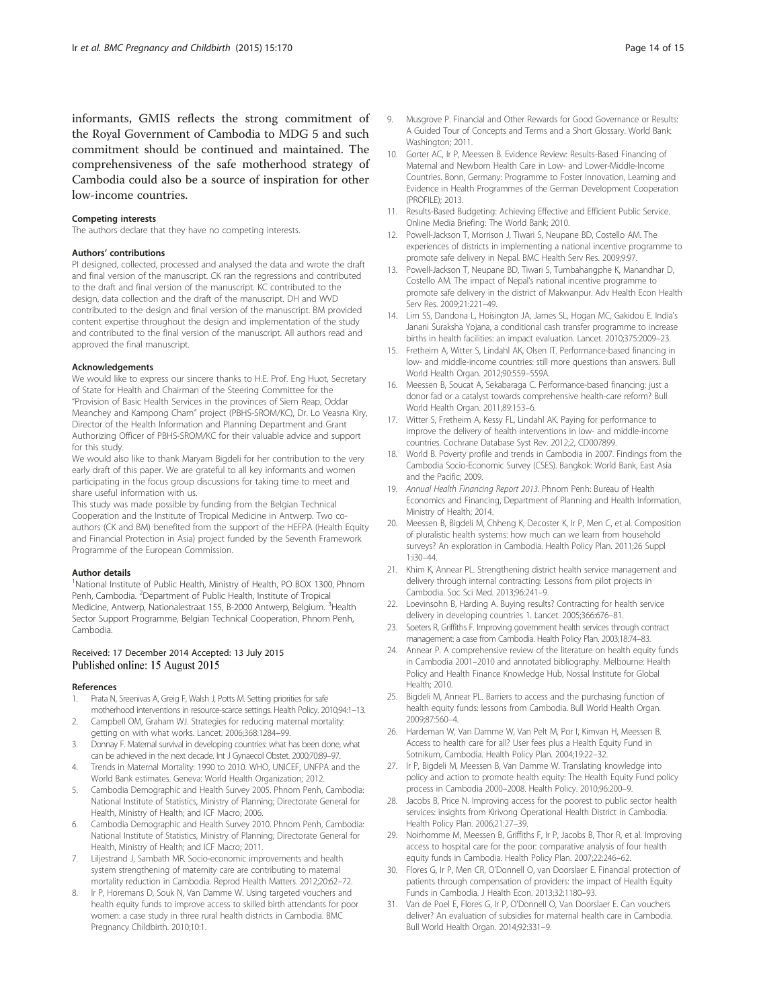<span id="page-13-0"></span>informants, GMIS reflects the strong commitment of the Royal Government of Cambodia to MDG 5 and such commitment should be continued and maintained. The comprehensiveness of the safe motherhood strategy of Cambodia could also be a source of inspiration for other low-income countries.

#### Competing interests

The authors declare that they have no competing interests.

#### Authors' contributions

PI designed, collected, processed and analysed the data and wrote the draft and final version of the manuscript. CK ran the regressions and contributed to the draft and final version of the manuscript. KC contributed to the design, data collection and the draft of the manuscript. DH and WVD contributed to the design and final version of the manuscript. BM provided content expertise throughout the design and implementation of the study and contributed to the final version of the manuscript. All authors read and approved the final manuscript.

#### Acknowledgements

We would like to express our sincere thanks to H.E. Prof. Eng Huot, Secretary of State for Health and Chairman of the Steering Committee for the "Provision of Basic Health Services in the provinces of Siem Reap, Oddar Meanchey and Kampong Cham" project (PBHS-SROM/KC), Dr. Lo Veasna Kiry, Director of the Health Information and Planning Department and Grant Authorizing Officer of PBHS-SROM/KC for their valuable advice and support for this study.

We would also like to thank Maryam Bigdeli for her contribution to the very early draft of this paper. We are grateful to all key informants and women participating in the focus group discussions for taking time to meet and share useful information with us.

This study was made possible by funding from the Belgian Technical Cooperation and the Institute of Tropical Medicine in Antwerp. Two coauthors (CK and BM) benefited from the support of the HEFPA (Health Equity and Financial Protection in Asia) project funded by the Seventh Framework Programme of the European Commission.

#### Author details

<sup>1</sup>National Institute of Public Health, Ministry of Health, PO BOX 1300, Phnom Penh, Cambodia. <sup>2</sup>Department of Public Health, Institute of Tropical Medicine, Antwerp, Nationalestraat 155, B-2000 Antwerp, Belgium. <sup>3</sup>Health Sector Support Programme, Belgian Technical Cooperation, Phnom Penh, Cambodia.

#### Received: 17 December 2014 Accepted: 13 July 2015 Published online: 15 August 2015

#### References

- 1. Prata N, Sreenivas A, Greig F, Walsh J, Potts M. Setting priorities for safe motherhood interventions in resource-scarce settings. Health Policy. 2010;94:1–13.
- 2. Campbell OM, Graham WJ. Strategies for reducing maternal mortality: getting on with what works. Lancet. 2006;368:1284–99.
- 3. Donnay F. Maternal survival in developing countries: what has been done, what can be achieved in the next decade. Int J Gynaecol Obstet. 2000;70:89–97.
- 4. Trends in Maternal Mortality: 1990 to 2010. WHO, UNICEF, UNFPA and the World Bank estimates. Geneva: World Health Organization; 2012.
- 5. Cambodia Demographic and Health Survey 2005. Phnom Penh, Cambodia: National Institute of Statistics, Ministry of Planning; Directorate General for Health, Ministry of Health; and ICF Macro; 2006.
- 6. Cambodia Demographic and Health Survey 2010. Phnom Penh, Cambodia: National Institute of Statistics, Ministry of Planning; Directorate General for Health, Ministry of Health; and ICF Macro; 2011.
- Liljestrand J, Sambath MR. Socio-economic improvements and health system strengthening of maternity care are contributing to maternal mortality reduction in Cambodia. Reprod Health Matters. 2012;20:62–72.
- Ir P, Horemans D, Souk N, Van Damme W. Using targeted vouchers and health equity funds to improve access to skilled birth attendants for poor women: a case study in three rural health districts in Cambodia. BMC Pregnancy Childbirth. 2010;10:1.
- Musgrove P. Financial and Other Rewards for Good Governance or Results: A Guided Tour of Concepts and Terms and a Short Glossary. World Bank: Washington: 2011.
- 10. Gorter AC, Ir P, Meessen B. Evidence Review: Results-Based Financing of Maternal and Newborn Health Care in Low- and Lower-Middle-Income Countries. Bonn, Germany: Programme to Foster Innovation, Learning and Evidence in Health Programmes of the German Development Cooperation (PROFILE); 2013.
- 11. Results-Based Budgeting: Achieving Effective and Efficient Public Service. Online Media Briefing: The World Bank; 2010.
- 12. Powell-Jackson T, Morrison J, Tiwari S, Neupane BD, Costello AM. The experiences of districts in implementing a national incentive programme to promote safe delivery in Nepal. BMC Health Serv Res. 2009;9:97.
- 13. Powell-Jackson T, Neupane BD, Tiwari S, Tumbahangphe K, Manandhar D, Costello AM. The impact of Nepal's national incentive programme to promote safe delivery in the district of Makwanpur. Adv Health Econ Health Serv Res. 2009;21:221–49.
- 14. Lim SS, Dandona L, Hoisington JA, James SL, Hogan MC, Gakidou E. India's Janani Suraksha Yojana, a conditional cash transfer programme to increase births in health facilities: an impact evaluation. Lancet. 2010;375:2009–23.
- 15. Fretheim A, Witter S, Lindahl AK, Olsen IT. Performance-based financing in low- and middle-income countries: still more questions than answers. Bull World Health Organ. 2012;90:559–559A.
- 16. Meessen B, Soucat A, Sekabaraga C. Performance-based financing: just a donor fad or a catalyst towards comprehensive health-care reform? Bull World Health Organ. 2011;89:153–6.
- 17. Witter S, Fretheim A, Kessy FL, Lindahl AK. Paying for performance to improve the delivery of health interventions in low- and middle-income countries. Cochrane Database Syst Rev. 2012;2, CD007899.
- 18. World B. Poverty profile and trends in Cambodia in 2007. Findings from the Cambodia Socio-Economic Survey (CSES). Bangkok: World Bank, East Asia and the Pacific; 2009.
- 19. Annual Health Financing Report 2013. Phnom Penh: Bureau of Health Economics and Financing, Department of Planning and Health Information, Ministry of Health; 2014.
- 20. Meessen B, Bigdeli M, Chheng K, Decoster K, Ir P, Men C, et al. Composition of pluralistic health systems: how much can we learn from household surveys? An exploration in Cambodia. Health Policy Plan. 2011;26 Suppl 1:i30–44.
- 21. Khim K, Annear PL. Strengthening district health service management and delivery through internal contracting: Lessons from pilot projects in Cambodia. Soc Sci Med. 2013;96:241–9.
- 22. Loevinsohn B, Harding A. Buying results? Contracting for health service delivery in developing countries 1. Lancet. 2005;366:676–81.
- 23. Soeters R, Griffiths F. Improving government health services through contract management: a case from Cambodia. Health Policy Plan. 2003;18:74–83.
- 24. Annear P. A comprehensive review of the literature on health equity funds in Cambodia 2001–2010 and annotated bibliography. Melbourne: Health Policy and Health Finance Knowledge Hub, Nossal Institute for Global Health; 2010.
- 25. Bigdeli M, Annear PL. Barriers to access and the purchasing function of health equity funds: lessons from Cambodia. Bull World Health Organ. 2009;87:560–4.
- 26. Hardeman W, Van Damme W, Van Pelt M, Por I, Kimvan H, Meessen B. Access to health care for all? User fees plus a Health Equity Fund in Sotnikum, Cambodia. Health Policy Plan. 2004;19:22–32.
- 27. Ir P, Bigdeli M, Meessen B, Van Damme W. Translating knowledge into policy and action to promote health equity: The Health Equity Fund policy process in Cambodia 2000–2008. Health Policy. 2010;96:200–9.
- 28. Jacobs B, Price N. Improving access for the poorest to public sector health services: insights from Kirivong Operational Health District in Cambodia. Health Policy Plan. 2006;21:27–39.
- 29. Noirhomme M, Meessen B, Griffiths F, Ir P, Jacobs B, Thor R, et al. Improving access to hospital care for the poor: comparative analysis of four health equity funds in Cambodia. Health Policy Plan. 2007;22:246–62.
- 30. Flores G, Ir P, Men CR, O'Donnell O, van Doorslaer E. Financial protection of patients through compensation of providers: the impact of Health Equity Funds in Cambodia. J Health Econ. 2013;32:1180–93.
- 31. Van de Poel E, Flores G, Ir P, O'Donnell O, Van Doorslaer E. Can vouchers deliver? An evaluation of subsidies for maternal health care in Cambodia. Bull World Health Organ. 2014;92:331–9.